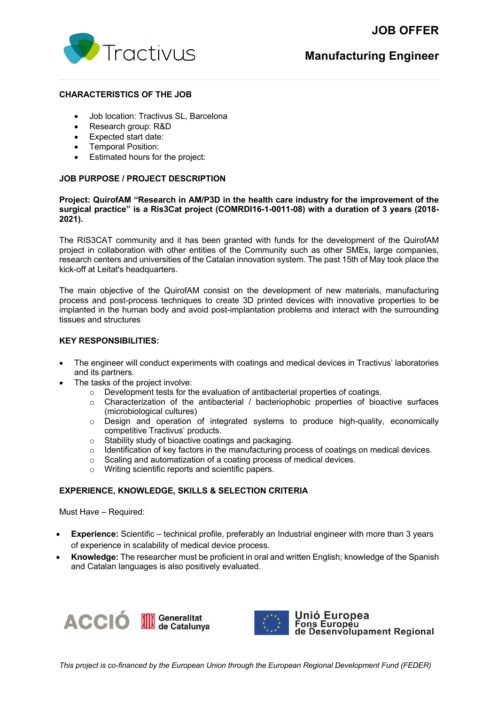# **JOB OFFER**



# **Manufacturing Engineer**

### **CHARACTERISTICS OF THE JOB**

- Job location: Tractivus SL, Barcelona
- Research group: R&D
- Expected start date:
- Temporal Position:
- Estimated hours for the project:

## **JOB PURPOSE / PROJECT DESCRIPTION**

### **Project: QuirofAM "Research in AM/P3D in the health care industry for the improvement of the surgical practice" is a Ris3Cat project (COMRDI16-1-0011-08) with a duration of 3 years (2018- 2021).**

The RIS3CAT community and it has been granted with funds for the development of the QuirofAM project in collaboration with other entities of the Community such as other SMEs, large companies, research centers and universities of the Catalan innovation system. The past 15th of May took place the kick-off at Leitat's headquarters.

The main objective of the QuirofAM consist on the development of new materials, manufacturing process and post-process techniques to create 3D printed devices with innovative properties to be implanted in the human body and avoid post-implantation problems and interact with the surrounding tissues and structures

## **KEY RESPONSIBILITIES:**

- The engineer will conduct experiments with coatings and medical devices in Tractivus' laboratories and its partners.
- The tasks of the project involve:
	- $\circ$  Development tests for the evaluation of antibacterial properties of coatings.
	- $\circ$  Characterization of the antibacterial / bacteriophobic properties of bioactive surfaces (microbiological cultures)
	- o Design and operation of integrated systems to produce high-quality, economically competitive Tractivus' products.
	- o Stability study of bioactive coatings and packaging.
	- o Identification of key factors in the manufacturing process of coatings on medical devices.<br>  $\circ$  Scaling and automatization of a coating process of medical devices.
	- Scaling and automatization of a coating process of medical devices.<br>○ Writing scientific reports and scientific papers.
	- Writing scientific reports and scientific papers.

### **EXPERIENCE, KNOWLEDGE, SKILLS & SELECTION CRITERIA**

Must Have – Required:

- **Experience:** Scientific technical profile, preferably an Industrial engineer with more than 3 years of experience in scalability of medical device process.
- **Knowledge:** The researcher must be proficient in oral and written English; knowledge of the Spanish and Catalan languages is also positively evaluated.





Unió Europea Fons Europeu<br>Tons Europeu<br>de Desenvolupament Regional